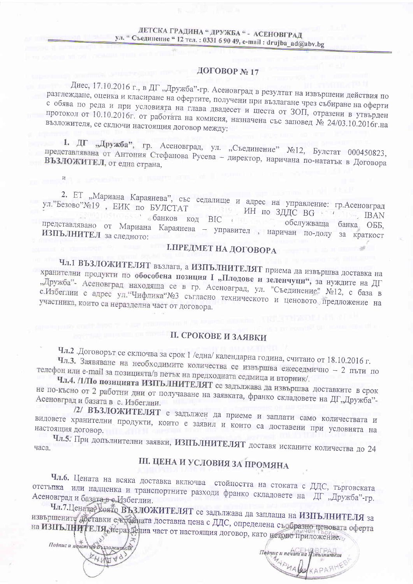### ДОГОВОР №17

Днес, 17.10.2016 г., в ДГ "Дружба"-гр. Асеновград в резултат на извършени действия по разглеждане, оценка и класиране на офертите, получени при възлагане чрез събиране на оферти с обява по реда и при условията на глава двадесет и шеста от ЗОП, отразени в утвърден протокол от 10.10.2016г. от работата на комисия, назначена със заповед № 24/03.10.2016г.на възложителя, се сключи настоящия договор между:

1. ДГ "Дружба", гр. Асеновград, ул. "Съединение" №12, Булстат 000450823, представлявана от Антония Стефанова Русева - директор, наричана по-нататък в Договора ВЪЗЛОЖИТЕЛ, от една страна,

2. ЕТ "Мариана Караянева", със седалище и адрес на управление: гр.Асеновград ул."Безово"№19, ЕИК по БУЛСТАТ MH no 3ДДС BG STATIS 15 10 обанков код ВІС **IBAN**  $\mathbf{L}$ обслужваща банка ОББ, представлявано от Мариана Караянева - управител, наричан по-долу за краткост ИЗПЪЛНИТЕЛ за следното:

## І. ПРЕДМЕТ НА ДОГОВОРА

Чл.1 ВЪЗЛОЖИТЕЛЯТ възлага, а ИЗПЪЛНИТЕЛЯТ приема да извършва доставка на хранителни продукти по обособена позиция I "Плодове и зеленчуци", за нуждите на ДГ "Дружба"- Асеновград находяща се в гр. Асеновград, ул. "Съединение" №12, с база в с.Избеглии с адрес ул. "Чифлика №3 съгласно техническото и ценовото предложение на участника, които са неразделна част от договора.

### **II. СРОКОВЕ И ЗАЯВКИ**

Чл.2 .Договорът се сключва за срок 1 /една/ календарна година, считано от 18.10.2016 г.

Чл.3. Заявяване на необходимите количества се извършва ежеседмично - 2 пъти по телефон или e-mail за позицията/в петък на предходната седмица и вторник/.

Чл.4. /1/По позицията ИЗПЪЛНИТЕЛЯТ се задължава да извършва доставките в срок не по-късно от 2 работни дни от получаване на заявката, франко складовете на ДГ"Дружба"-Асеновград и базата в с. Избеглии.

/2/ ВЪЗЛОЖИТЕЛЯТ е задължен да приеме и заплати само количествата и видовете хранителни продукти, които е заявил и които са доставени при условията на

Чл.5. При допълнителни заявки, ИЗПЪЛНИТЕЛЯТ доставя исканите количества до 24 часа.

## Ш. ЦЕНА И УСЛОВИЯ ЗА ПРОМЯНА

Чл.6. Цената на всяка доставка включва стойността на стоката с ДДС, търговската отстъпка или надценка и транспортните разходи франко складовете на ДГ "Дружба"-гр. Асеновград и базата в с. Избеглии.

Чл.7.Ценатар която ВЪЗЛОЖИТЕЛЯТ се задължава да заплаща на ИЗПЪЛНИТЕЛЯ за извършените доставки е крайната доставна цена с ДДС, определена съобразно ценовата оферта на ИЗПЪЛНИТЕЛЯ неразденна част от настоящия договор, като неково приложение.

Подпис и печат ци Възложителя EHIMAG

 $\overline{\mathbf{M}}$ 

 $\pi$ bonuc u nebamna ponomument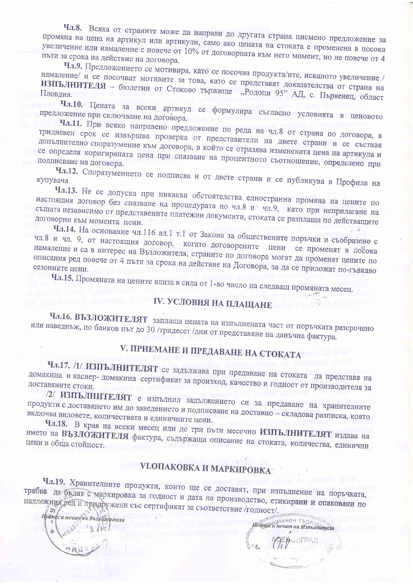Чл.8. Всяка от страните може да направи до другата страна писмено предложение за промяна на цена на артикул или артикули, само ако цената на стоката е променена в посока увеличение или намаление с повече от 10% от договорната към него момент, но не повече от 4 пъти за срока на действие на договора.

Чл.9. Предложението се мотивира, като се посочва продукта/ите, исканото увеличение / намаление/ и се посочват мотивите за това, като се представят доказателства от страна на ИЗПЪЛНИТЕЛЯ - бюлетин от Стоково тържище "Родопи 95" АД, с. Първенец, област Пловдив.

Чл.10. Цената за всеки артикул се формулира съгласно условията в ценовото предложение при сключване на договора.

Чл.11. При всяко направено предложение по реда на чл.8 от страна по договора, в тридневен срок се извършва проверка от представители на двете страни и се съставя допълнително споразумение към договора, в който се отразява изменената цена на артикула и се определя коригираната цена при спазване на процентното съотношение, определено при

Чл.12. Споразумението се подписва и от двете страни и се публикува в Профила на купувача.

Чл.13. Не се допуска при никакви обстоятелства едностранна промяна на цените по настоящия договор без спазване на процедурата по чл.8 и чл.9, като при неприлагане на същата независимо от представените платежни документи, стоката се разплаща по действащите

Чл.14. На основание чл.116 ал.1 т.1 от Закона за обществените поръчки и съобразено с чл.8 и чл. 9, от настоящия договор, когато договорените цени се променят в посока намаление и са в интерес на Възложителя, страните по договора могат да променят цените по описания ред повече от 4 пъти за срока на действие на Договора, за да се приложат по-гъвкаво

Чл.15. Промяната на цените влиза в сила от 1-во число на следващ промяната месец.

## IV. УСЛОВИЯ НА ПЛАЩАНЕ

Чл.16. ВЪЗЛОЖИТЕЛЯТ заплаща цената на изпълнената част от поръчката разсрочено или наведнъж, по банков път до 30 /тридесет /дни от представяне на данъчна фактура.

## V. ПРИЕМАНЕ И ПРЕДАВАНЕ НА СТОКАТА

Чл.17. /1/ ИЗПЪЛНИТЕЛЯТ се задължава при предаване на стоката да представя на домакина и касиер- домакина сертификат за произход, качество и годност от производителя за

/2/ ИЗПЪЛНИТЕЛЯТ е изпълнил задължението си за предаване на хранителните продукти с доставянето им до заведението и подписване на доставно - складова разписка, която включва видовете, количествата и единичните цени.

Чл.18. В края на всеки месец или до три пъти месечно ИЗПЪЛНИТЕЛЯТ издава на името на ВЪЗЛОЖИТЕЛЯ фактура, съдържаща описание на стоката, количества, единични

## **VI.ОПАКОВКА И МАРКИРОВКА**

Чл.19. Хранителните продукти, които ще се доставят, при изпълнение на поръчката, трябва да бъдат с маркировка за годност и дата на производство, етикирани и опаковани по надлежния ред и придружени със сертификат за съответствие /годност/.

Подпис и печатна Въздолентеля

Поблис и печат на Изполнителя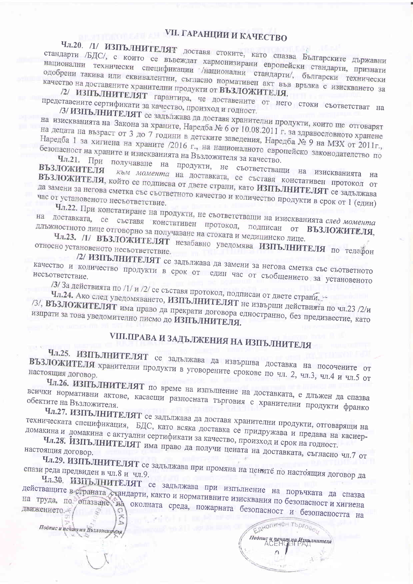## **VII. ГАРАНЦИИ И КАЧЕСТВО**

Чл.20. /1/ ИЗПЪЛНИТЕЛЯТ доставя стоките, като спазва Българските държавни стандарти /БДС/, с които се въвеждат хармонизирани европейски стандарти, признати национални технически спецификации /национални стандарти/, български технически одобрени такива или еквивалентни, съгласно нормативен акт във връзка с изискването за качество на доставяните хранителни продукти от ВЪЗЛОЖИТЕЛЯ.

/2/ ИЗПЪЛНИТЕЛЯТ гарантира, че доставените от него стоки съответстват на представените сертификати за качество, произход и годност.

/З/ ИЗПЪЛНИТЕЛЯТ се задължава да доставя хранителни продукти, които ще отговарят на изискванията на Закона за храните, Наредба № 6 от 10.08.2011 г. за здравословното хранене на децата на възраст от 3 до 7 години в детските заведения, Наредба № 9 на МЗХ от 2011г., Наредба 1 за хигиена на храните /2016 г., на националното европейско законодателство по

безопасност на храните и изискванията на Възложителя за качество. Чл.21. При получаване на продукти, не съответстващи на изискванията на

ВЪЗЛОЖИТЕЛЯ към момента на доставката, се съставя констативен протокол от ВЪЗЛОЖИТЕЛЯ, който се подписва от двете страни, като ИЗПЪЛНИТЕЛЯТ се задължава да замени за негова сметка със съответното качество и количество продукти в срок от 1 (един)

Чл.22. При констатиране на продукти, не съответстващи на изискванията след момента на доставката, се съставя констативен протокол, подписан от ВЪЗЛОЖИТЕЛЯ, длъжностното лице отговорно за получаване на стоката и медицинско лице.

Чл.23. /1/ ВЪЗЛОЖИТЕЛЯТ незабавно уведомява ИЗПЪЛНИТЕЛЯ по телефон относно установеното несъответствие.

/2/ ИЗПЪЛНИТЕЛЯТ се задължава да замени за негова сметка със съответното качество и количество продукти в срок от един час от съобщението за установеното

/3/ За действията по /1/ и /2/ се съставя протокол, подписан от двете страни.

Чл.24. Ако след уведомяването, ИЗПЪЛНИТЕЛЯТ не извърши действията по чл.23 /2/и /3/, ВЪЗЛОЖИТЕЛЯТ има право да прекрати договора едностранно, без предизвестие, като изпрати за това уведомително писмо до ИЗПЪЛНИТЕЛЯ.

# **VIII.ПРАВА И ЗАДЪЛЖЕНИЯ НА ИЗПЪЛНИТЕЛЯ**

Чл.25. ИЗПЪЛНИТЕЛЯТ се задължава да извършва доставка на посочените от ВЪЗЛОЖИТЕЛЯ хранителни продукти в уговорените срокове по чл. 2, чл.3, чл.4 и чл.5 от настоящия договор.

Чл.26. ИЗПЪЛНИТЕЛЯТ по време на изпълнение на доставката, е длъжен да спазва всички нормативни актове, касаещи разносната търговия с хранителни продукти франко обектите на Възложителя.

Чл.27. ИЗПЪЛНИТЕЛЯТ се задължава да доставя хранителни продукти, отговарящи на техническата спецификация, БДС, като всяка доставка се придружава и предава на касиердомакина и домакина с актуални сертификати за качество, произход и срок на годност.

Чл.28. ИЗПЪЛНИТЕЛЯТ има право да получи цената на доставката, съгласно чл.7 от настоящия договор.

Чл.29. ИЗПЪЛНИТЕЛЯТ се задължава при промяна на цените по настоящия договор да спази реда предвиден в чл.8 и чл.9.

Чл.30. ИЗПЪЛНИТЕЛЯТ се задължава при изпълнение на поръчката да спазва действащите в страната стандарти, както и нормативните изисквания по безопасност и хигиена на труда, по опазване на околната среда, пожарната безопасност и безопасността на

Подпис и печат на Възложителя

 $\sum$ 

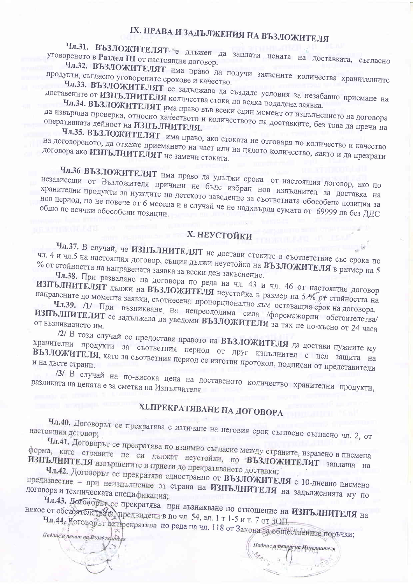# IX. ПРАВА И ЗАДЪЛЖЕНИЯ НА ВЪЗЛОЖИТЕЛЯ

Чл.31. ВЪЗЛОЖИТЕЛЯТ е длъжен да заплати цената на доставката, съгласно уговореното в Раздел III от настоящия договор.

Чл.32. ВЪЗЛОЖИТЕЛЯТ има право да получи заявените количества хранителните продукти, съгласно уговорените срокове и качество.

Чл.33. ВЪЗЛОЖИТЕЛЯТ се задължава да създаде условия за незабавно приемане на доставените от ИЗПЪЛНИТЕЛЯ количества стоки по всяка подадена заявка.

Чл.34. ВЪЗЛОЖИТЕЛЯТ има право във всеки един момент от изпълнението на договора да извършва проверка, относно качеството и количеството на доставките, без това да пречи на

Чл.35. ВЪЗЛОЖИТЕЛЯТ има право, ако стоката не отговаря по количество и качество на договореното, да откаже приемането на част или на цялото количество, както и да прекрати договора ако ИЗПЪЛНИТЕЛЯТ не замени стоката.

a sedut Kanal

Чл.36 ВЪЗЛОЖИТЕЛЯТ има право да удължи срока от настоящия договор, ако по независещи от Възложителя причини не бъде избран нов изпълнител за доставка на хранителни продукти за нуждите на детското заведение за съответната обособена позиция за нов период, но не повече от 6 месеца и в случай че не надхвърля сумата от 69999 лв без ДДС

## Х. НЕУСТОЙКИ

Чл.37. В случай, че ИЗПЪЛНИТЕЛЯТ не достави стоките в съответствие със срока по чл. 4 и чл.5 на настоящия договор, същия дължи неустойка на ВЪЗЛОЖИТЕЛЯ в размер на 5 % от стойността на направената заявка за всеки ден закъснение.

Чл.38. При разваляне на договора по реда на чл. 43 и чл. 46 от настоящия договор ИЗПЪЛНИТЕЛЯТ дължи на ВЪЗЛОЖИТЕЛЯ неустойка в размер на 5 % от стойността на

направените до момента заявки, съотнесена пропорционално към оставащия срок на договора. Чл.39. /1/ При възникване на непреодолима сила /форсмажорни обстоятелства/ ИЗПЪЛНИТЕЛЯТ се задължава да уведоми ВЪЗЛОЖИТЕЛЯ за тях не по-късно от 24 часа

/2/ В този случай се предоставя правото на ВЪЗЛОЖИТЕЛЯ да достави нужните му хранителни продукти за съответния период от друг изпълнител с цел защита на ВЪЗЛОЖИТЕЛЯ, като за съответния период се изготви протокол, подписан от представители и на двете страни.

/3/ В случай на по-висока цена на доставеното количество хранителни продукти, разликата на цената е за сметка на Изпълнителя.

## ХІ. ПРЕКРАТЯВАНЕ НА ДОГОВОРА

Чл.40. Договорът се прекратява с изтичане на неговия срок съгласно съгласно чл. 2, от настоящия договор;

Чл.41. Договорът се прекратява по взаимно съгласие между страните, изразено в писмена форма, като страните не си дължат неустойки, но ВЪЗЛОЖИТЕЛЯТ заплаща на ИЗПЪЛНИТЕЛЯ извършените и приети до прекратяването доставки;

Чл.42. Договорът се прекратява едностранно от ВЪЗЛОЖИТЕЛЯ с 10-дневно писмено предизвестие - при неизпълнение от страна на ИЗПЪЛНИТЕЛЯ на задълженията му по договора и техническата спецификация;

Чл.43. Договорът се прекратява при възникване по отношение на ИЗПЪЛНИТЕЛЯ на

някое от обстоятелето рата, предвидени в по чл. 54, ал. 1 т 1-5 и т. 7 от ЗОП. Чл.44. Договорът се прекратява по реда на чл. 118 от Закона за обществените поръчки;

Подпис и печат на Възложнителя

Подпис и течат на Изпълнителя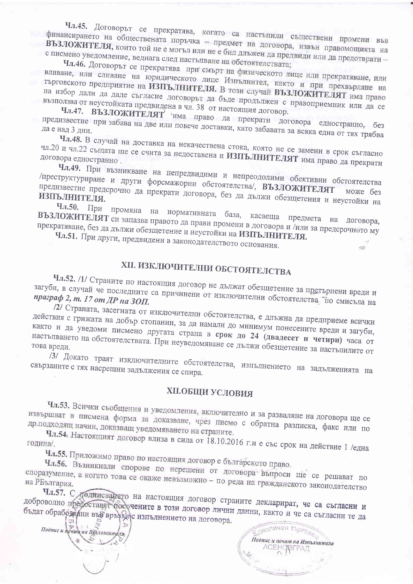Чл.45. Договорът се прекратява, когато са настъпили съществени промени във финансирането на обществената поръчка - предмет на договора, извън правомощията на ВЪЗЛОЖИТЕЛЯ, които той не е могъл или не е бил длъжен да предвиди или да предотврати с писмено уведомление, веднага след настъпване на обстоятелствата;

Чл.46. Договорът се прекратява при смърт на физическото лице или прекратяване, или вливане, или сливане на юридическото лице Изпълнител, както и при прехвърляне на търговското предприятие на ИЗПЪЛНИТЕЛЯ. В този случай ВЪЗЛОЖИТЕЛЯТ има право на избор дали да даде съгласие договорът да бъде продължен с правоприемник или да се

възползва от неустойката предвидена в чл. 38 от настоящия договор. Чл.47. ВЪЗЛОЖИТЕЛЯТ има право да прекрати договора едностранно, без предизвестие при забава на две или повече доставки, като забавата за всяка една от тях трябва

Чл.48. В случай на доставка на некачествена стока, която не се замени в срок съгласно чл.20 и чл.22 същата ще се счита за недоставена и ИЗПЪЛНИТЕЛЯТ има право да прекрати

Чл.49. При възникване на непредвидими и непреодолими обективни обстоятелства /преструктуриране и други форсмажорни обстоятелства/, ВЪЗЛОЖИТЕЛЯТ предизвестие предсрочно да прекрати договора, без да дължи обезщетения и неустойки на

Чл.50. При промяна на нормативната база, касаеща предмета на договора, ВЪЗЛОЖИТЕЛЯТ си запазва правото да прави промени в договора и /или за предсрочното му прекратяване, без да дължи обезщетение и неустойки на ИЗПЪЛНИТЕЛЯ.

Чл.51. При други, предвидени в законодателството основания.

# ХІІ. ИЗКЛЮЧИТЕЛНИ ОБСТОЯТЕЛСТВА

Чл.52. /1/ Страните по настоящия договор не дължат обезщетение за претърпени вреди и загуби, в случай че последните са причинени от изключителни обстоятелства. по смисъла на

/2/ Страната, засегната от изключителни обстоятелства, е длъжна да предприеме всички действия с грижата на добър стопанин, за да намали до минимум понесените вреди и загуби, както и да уведоми писмено другата страна в срок до 24 (двадесет и четири) часа от настъпването на обстоятелствата. При неуведомяване се дължи обезщетение за настъпилите от

/3/ Докато траят изключителните обстоятелства, изпълнението на задълженията на свързаните с тях насрещни задължения се спира.

### **ХІІ.ОБЩИ УСЛОВИЯ**

Чл.53. Всички съобщения и уведомления, включително и за разваляне на договора ще се извършват в писмена форма за доказване, чрез писмо с обратна разписка, факс или по др.подходящ начин, доказващ уведомяването на страните.

Чл.54. Настоящият договор влиза в сила от 18.10.2016 г.и е със срок на действие 1 /една година/.

Чл.55. Приложимо право по настоящия договор е българското право.

Чл.56. Възникнали спорове по нерешени от договора въпроси ще се решават по споразумение, а когато това се окаже невъзможно - по реда на гражданското законодателство

Чл.57. С подписването на настоящия договор страните декларират, че са съгласни и доброволно предоставят посочените в този договор лични данни, както и че са съгласни те да бъдат обрабожани във връхкаю изпълнението на договора.

Подпис и печит на Вузложитель  $\triangleright$  $\mathcal{M}$